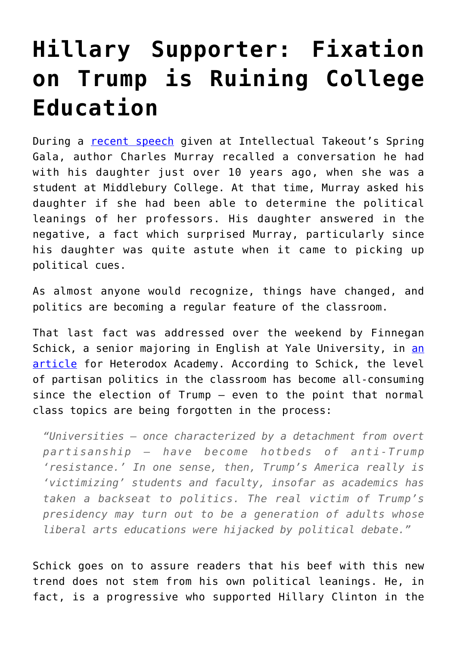## **[Hillary Supporter: Fixation](https://intellectualtakeout.org/2017/06/hillary-supporter-fixation-on-trump-is-ruining-college-education/) [on Trump is Ruining College](https://intellectualtakeout.org/2017/06/hillary-supporter-fixation-on-trump-is-ruining-college-education/) [Education](https://intellectualtakeout.org/2017/06/hillary-supporter-fixation-on-trump-is-ruining-college-education/)**

During a [recent speech](https://www.facebook.com/intellectual.takeout.org/videos/10158824463950173/) given at Intellectual Takeout's Spring Gala, author Charles Murray recalled a conversation he had with his daughter just over 10 years ago, when she was a student at Middlebury College. At that time, Murray asked his daughter if she had been able to determine the political leanings of her professors. His daughter answered in the negative, a fact which surprised Murray, particularly since his daughter was quite astute when it came to picking up political cues.

As almost anyone would recognize, things have changed, and politics are becoming a regular feature of the classroom.

That last fact was addressed over the weekend by Finnegan Schick, a senior majoring in English at Yale University, in [an](https://heterodoxacademy.org/2017/06/25/on-the-intrusion-of-national-politics-in-college-classrooms/) [article](https://heterodoxacademy.org/2017/06/25/on-the-intrusion-of-national-politics-in-college-classrooms/) for Heterodox Academy. According to Schick, the level of partisan politics in the classroom has become all-consuming since the election of Trump – even to the point that normal class topics are being forgotten in the process:

*"Universities — once characterized by a detachment from overt partisanship — have become hotbeds of anti-Trump 'resistance.' In one sense, then, Trump's America really is 'victimizing' students and faculty, insofar as academics has taken a backseat to politics. The real victim of Trump's presidency may turn out to be a generation of adults whose liberal arts educations were hijacked by political debate."*

Schick goes on to assure readers that his beef with this new trend does not stem from his own political leanings. He, in fact, is a progressive who supported Hillary Clinton in the